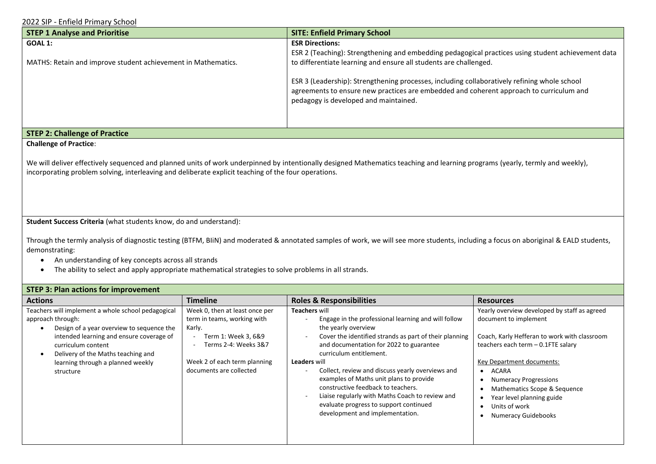2022 SIP - Enfield Primary School

| <b>STEP 1 Analyse and Prioritise</b>                                                                                                                                                                                                                                                  | <b>SITE: Enfield Primary School</b>                                                                                              |  |  |
|---------------------------------------------------------------------------------------------------------------------------------------------------------------------------------------------------------------------------------------------------------------------------------------|----------------------------------------------------------------------------------------------------------------------------------|--|--|
| GOAL 1:                                                                                                                                                                                                                                                                               | <b>ESR Directions:</b>                                                                                                           |  |  |
|                                                                                                                                                                                                                                                                                       | ESR 2 (Teaching): Strengthening and embedding pedagogical practices using student achievement data                               |  |  |
| MATHS: Retain and improve student achievement in Mathematics.                                                                                                                                                                                                                         | to differentiate learning and ensure all students are challenged.                                                                |  |  |
|                                                                                                                                                                                                                                                                                       | ESR 3 (Leadership): Strengthening processes, including collaboratively refining whole school                                     |  |  |
|                                                                                                                                                                                                                                                                                       | agreements to ensure new practices are embedded and coherent approach to curriculum and<br>pedagogy is developed and maintained. |  |  |
|                                                                                                                                                                                                                                                                                       |                                                                                                                                  |  |  |
|                                                                                                                                                                                                                                                                                       |                                                                                                                                  |  |  |
| <b>STEP 2: Challenge of Practice</b>                                                                                                                                                                                                                                                  |                                                                                                                                  |  |  |
| <b>Challenge of Practice:</b>                                                                                                                                                                                                                                                         |                                                                                                                                  |  |  |
| We will deliver effectively sequenced and planned units of work underpinned by intentionally designed Mathematics teaching and learning programs (yearly, termly and weekly),<br>incorporating problem solving, interleaving and deliberate explicit teaching of the four operations. |                                                                                                                                  |  |  |

**Student Success Criteria** (what students know, do and understand):

Through the termly analysis of diagnostic testing (BTFM, BIiN) and moderated & annotated samples of work, we will see more students, including a focus on aboriginal & EALD students, demonstrating:

- An understanding of key concepts across all strands
- The ability to select and apply appropriate mathematical strategies to solve problems in all strands.

## **STEP 3: Plan actions for improvement**

| <b>Actions</b>                                                                                                                                                                                                                                                                 | <b>Timeline</b>                                                                                                                                                                   | <b>Roles &amp; Responsibilities</b>                                                                                                                                                                                                                                                                                                                                                                                                                                                                                            | <b>Resources</b>                                                                                                                                                                                                                                                                                                                                        |
|--------------------------------------------------------------------------------------------------------------------------------------------------------------------------------------------------------------------------------------------------------------------------------|-----------------------------------------------------------------------------------------------------------------------------------------------------------------------------------|--------------------------------------------------------------------------------------------------------------------------------------------------------------------------------------------------------------------------------------------------------------------------------------------------------------------------------------------------------------------------------------------------------------------------------------------------------------------------------------------------------------------------------|---------------------------------------------------------------------------------------------------------------------------------------------------------------------------------------------------------------------------------------------------------------------------------------------------------------------------------------------------------|
| Teachers will implement a whole school pedagogical<br>approach through:<br>Design of a year overview to sequence the<br>intended learning and ensure coverage of<br>curriculum content<br>Delivery of the Maths teaching and<br>learning through a planned weekly<br>structure | Week 0, then at least once per<br>term in teams, working with<br>Karly.<br>Term 1: Week 3, 6&9<br>Terms 2-4: Weeks 3&7<br>Week 2 of each term planning<br>documents are collected | <b>Teachers will</b><br>Engage in the professional learning and will follow<br>the yearly overview<br>Cover the identified strands as part of their planning<br>and documentation for 2022 to guarantee<br>curriculum entitlement.<br><b>Leaders will</b><br>Collect, review and discuss yearly overviews and<br>examples of Maths unit plans to provide<br>constructive feedback to teachers.<br>Liaise regularly with Maths Coach to review and<br>evaluate progress to support continued<br>development and implementation. | Yearly overview developed by staff as agreed<br>document to implement<br>Coach, Karly Hefferan to work with classroom<br>teachers each term - 0.1FTE salary<br>Key Department documents:<br>$\bullet$ ACARA<br><b>Numeracy Progressions</b><br>Mathematics Scope & Sequence<br>Year level planning guide<br>Units of work<br><b>Numeracy Guidebooks</b> |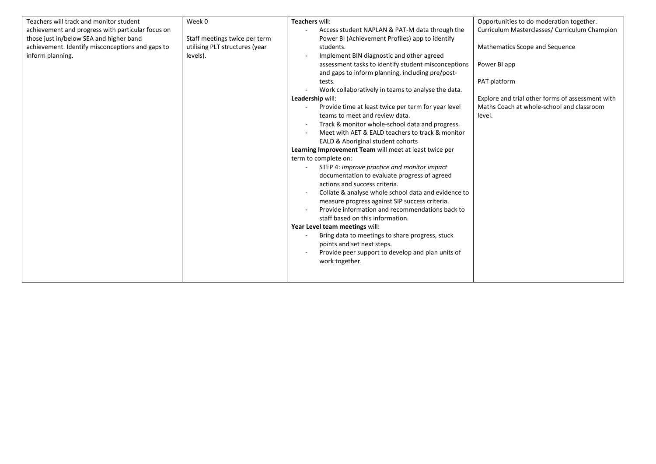| Teachers will track and monitor student           | Week 0                         | Teachers will:                                         | Opportunities to do moderation together.         |
|---------------------------------------------------|--------------------------------|--------------------------------------------------------|--------------------------------------------------|
| achievement and progress with particular focus on |                                | Access student NAPLAN & PAT-M data through the         | Curriculum Masterclasses/ Curriculum Champion    |
| those just in/below SEA and higher band           | Staff meetings twice per term  | Power BI (Achievement Profiles) app to identify        |                                                  |
| achievement. Identify misconceptions and gaps to  | utilising PLT structures (year | students.                                              | Mathematics Scope and Sequence                   |
| inform planning.                                  | levels).                       | Implement BIN diagnostic and other agreed              |                                                  |
|                                                   |                                | assessment tasks to identify student misconceptions    | Power BI app                                     |
|                                                   |                                | and gaps to inform planning, including pre/post-       |                                                  |
|                                                   |                                | tests.                                                 | PAT platform                                     |
|                                                   |                                | Work collaboratively in teams to analyse the data.     |                                                  |
|                                                   |                                | Leadership will:                                       | Explore and trial other forms of assessment with |
|                                                   |                                | Provide time at least twice per term for year level    | Maths Coach at whole-school and classroom        |
|                                                   |                                | teams to meet and review data.                         | level.                                           |
|                                                   |                                | Track & monitor whole-school data and progress.        |                                                  |
|                                                   |                                | Meet with AET & EALD teachers to track & monitor       |                                                  |
|                                                   |                                | EALD & Aboriginal student cohorts                      |                                                  |
|                                                   |                                | Learning Improvement Team will meet at least twice per |                                                  |
|                                                   |                                | term to complete on:                                   |                                                  |
|                                                   |                                | STEP 4: Improve practice and monitor impact            |                                                  |
|                                                   |                                | documentation to evaluate progress of agreed           |                                                  |
|                                                   |                                | actions and success criteria.                          |                                                  |
|                                                   |                                | Collate & analyse whole school data and evidence to    |                                                  |
|                                                   |                                | measure progress against SIP success criteria.         |                                                  |
|                                                   |                                | Provide information and recommendations back to        |                                                  |
|                                                   |                                | staff based on this information.                       |                                                  |
|                                                   |                                | Year Level team meetings will:                         |                                                  |
|                                                   |                                | Bring data to meetings to share progress, stuck        |                                                  |
|                                                   |                                | points and set next steps.                             |                                                  |
|                                                   |                                | Provide peer support to develop and plan units of      |                                                  |
|                                                   |                                | work together.                                         |                                                  |
|                                                   |                                |                                                        |                                                  |
|                                                   |                                |                                                        |                                                  |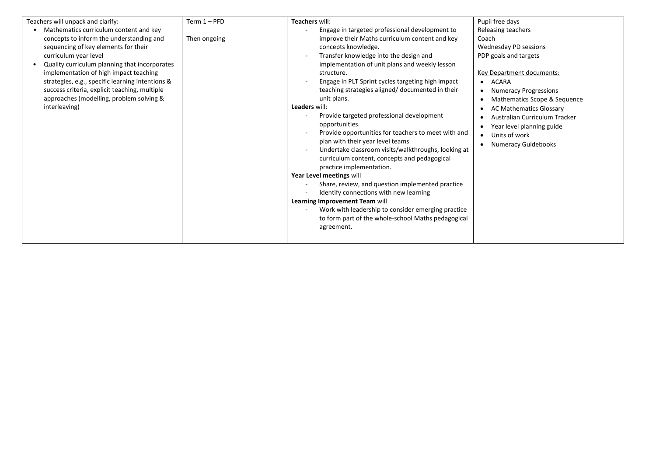| Teachers will unpack and clarify:<br>Mathematics curriculum content and key<br>concepts to inform the understanding and<br>sequencing of key elements for their<br>curriculum year level<br>Quality curriculum planning that incorporates<br>implementation of high impact teaching<br>strategies, e.g., specific learning intentions &<br>success criteria, explicit teaching, multiple<br>approaches (modelling, problem solving &<br>interleaving) | $Term 1 - PFD$<br>Then ongoing | Teachers will:<br>Engage in targeted professional development to<br>improve their Maths curriculum content and key<br>concepts knowledge.<br>Transfer knowledge into the design and<br>implementation of unit plans and weekly lesson<br>structure.<br>Engage in PLT Sprint cycles targeting high impact<br>teaching strategies aligned/ documented in their<br>unit plans.<br>Leaders will:<br>Provide targeted professional development<br>opportunities.<br>Provide opportunities for teachers to meet with and<br>plan with their year level teams<br>Undertake classroom visits/walkthroughs, looking at<br>curriculum content, concepts and pedagogical<br>practice implementation.<br>Year Level meetings will<br>Share, review, and question implemented practice<br>Identify connections with new learning<br>Learning Improvement Team will<br>Work with leadership to consider emerging practice<br>to form part of the whole-school Maths pedagogical<br>agreement. | Pupil free days<br>Releasing teachers<br>Coach<br>Wednesday PD sessions<br>PDP goals and targets<br>Key Department documents:<br>• ACARA<br><b>Numeracy Progressions</b><br>Mathematics Scope & Sequence<br><b>AC Mathematics Glossary</b><br>Australian Curriculum Tracker<br>Year level planning guide<br>• Units of work<br>Numeracy Guidebooks |
|-------------------------------------------------------------------------------------------------------------------------------------------------------------------------------------------------------------------------------------------------------------------------------------------------------------------------------------------------------------------------------------------------------------------------------------------------------|--------------------------------|---------------------------------------------------------------------------------------------------------------------------------------------------------------------------------------------------------------------------------------------------------------------------------------------------------------------------------------------------------------------------------------------------------------------------------------------------------------------------------------------------------------------------------------------------------------------------------------------------------------------------------------------------------------------------------------------------------------------------------------------------------------------------------------------------------------------------------------------------------------------------------------------------------------------------------------------------------------------------------|----------------------------------------------------------------------------------------------------------------------------------------------------------------------------------------------------------------------------------------------------------------------------------------------------------------------------------------------------|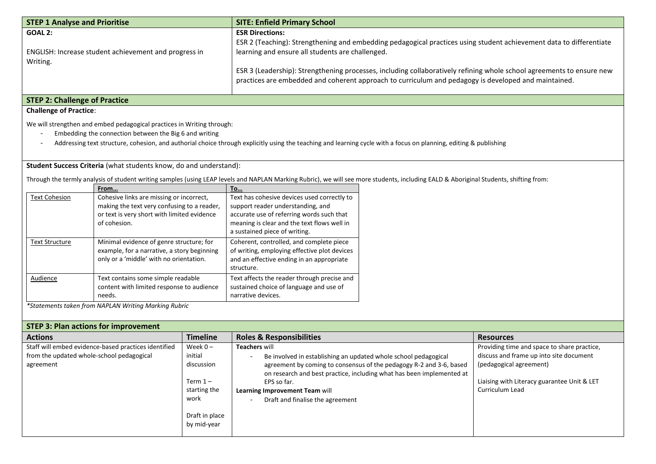| <b>STEP 1 Analyse and Prioritise</b>                                                                                                                                                                                                                                                                                                                                       |                                                                                                                                                        | <b>SITE: Enfield Primary School</b>                                                                                                                                                                                                                                                                                                                                                                                                |                                                                                                                                                                                       |  |
|----------------------------------------------------------------------------------------------------------------------------------------------------------------------------------------------------------------------------------------------------------------------------------------------------------------------------------------------------------------------------|--------------------------------------------------------------------------------------------------------------------------------------------------------|------------------------------------------------------------------------------------------------------------------------------------------------------------------------------------------------------------------------------------------------------------------------------------------------------------------------------------------------------------------------------------------------------------------------------------|---------------------------------------------------------------------------------------------------------------------------------------------------------------------------------------|--|
| <b>GOAL 2:</b><br>Writing.                                                                                                                                                                                                                                                                                                                                                 | ENGLISH: Increase student achievement and progress in                                                                                                  | <b>ESR Directions:</b><br>ESR 2 (Teaching): Strengthening and embedding pedagogical practices using student achievement data to differentiate<br>learning and ensure all students are challenged.<br>ESR 3 (Leadership): Strengthening processes, including collaboratively refining whole school agreements to ensure new<br>practices are embedded and coherent approach to curriculum and pedagogy is developed and maintained. |                                                                                                                                                                                       |  |
| <b>STEP 2: Challenge of Practice</b>                                                                                                                                                                                                                                                                                                                                       |                                                                                                                                                        |                                                                                                                                                                                                                                                                                                                                                                                                                                    |                                                                                                                                                                                       |  |
| <b>Challenge of Practice:</b>                                                                                                                                                                                                                                                                                                                                              |                                                                                                                                                        |                                                                                                                                                                                                                                                                                                                                                                                                                                    |                                                                                                                                                                                       |  |
| We will strengthen and embed pedagogical practices in Writing through:<br>Embedding the connection between the Big 6 and writing<br>Addressing text structure, cohesion, and authorial choice through explicitly using the teaching and learning cycle with a focus on planning, editing & publishing<br>Student Success Criteria (what students know, do and understand): |                                                                                                                                                        |                                                                                                                                                                                                                                                                                                                                                                                                                                    |                                                                                                                                                                                       |  |
|                                                                                                                                                                                                                                                                                                                                                                            |                                                                                                                                                        |                                                                                                                                                                                                                                                                                                                                                                                                                                    | Through the termly analysis of student writing samples (using LEAP levels and NAPLAN Marking Rubric), we will see more students, including EALD & Aboriginal Students, shifting from: |  |
|                                                                                                                                                                                                                                                                                                                                                                            | From                                                                                                                                                   | <b>To</b>                                                                                                                                                                                                                                                                                                                                                                                                                          |                                                                                                                                                                                       |  |
| <b>Text Cohesion</b>                                                                                                                                                                                                                                                                                                                                                       | Cohesive links are missing or incorrect,<br>making the text very confusing to a reader,<br>or text is very short with limited evidence<br>of cohesion. | Text has cohesive devices used correctly to<br>support reader understanding, and<br>accurate use of referring words such that<br>meaning is clear and the text flows well in<br>a sustained piece of writing.                                                                                                                                                                                                                      |                                                                                                                                                                                       |  |
| <b>Text Structure</b>                                                                                                                                                                                                                                                                                                                                                      | Minimal evidence of genre structure; for<br>example, for a narrative, a story beginning<br>only or a 'middle' with no orientation.                     | Coherent, controlled, and complete piece<br>of writing, employing effective plot devices<br>and an effective ending in an appropriate<br>structure.                                                                                                                                                                                                                                                                                |                                                                                                                                                                                       |  |
| <b>Audience</b>                                                                                                                                                                                                                                                                                                                                                            | Text contains some simple readable<br>content with limited response to audience<br>needs.                                                              | Text affects the reader through precise and<br>sustained choice of language and use of<br>narrative devices.                                                                                                                                                                                                                                                                                                                       |                                                                                                                                                                                       |  |
|                                                                                                                                                                                                                                                                                                                                                                            | *Statements taken from NAPLAN Writing Marking Rubric                                                                                                   |                                                                                                                                                                                                                                                                                                                                                                                                                                    |                                                                                                                                                                                       |  |

| <b>STEP 3: Plan actions for improvement</b>          |                 |                                                                                             |                                             |  |
|------------------------------------------------------|-----------------|---------------------------------------------------------------------------------------------|---------------------------------------------|--|
| <b>Actions</b>                                       | <b>Timeline</b> | <b>Roles &amp; Responsibilities</b>                                                         | <b>Resources</b>                            |  |
| Staff will embed evidence-based practices identified | Week $0 -$      | <b>Teachers will</b>                                                                        | Providing time and space to share practice, |  |
| from the updated whole-school pedagogical            | initial         | Be involved in establishing an updated whole school pedagogical<br>$\overline{\phantom{0}}$ | discuss and frame up into site document     |  |
| agreement                                            | discussion      | agreement by coming to consensus of the pedagogy R-2 and 3-6, based                         | (pedagogical agreement)                     |  |
|                                                      |                 | on research and best practice, including what has been implemented at                       |                                             |  |
|                                                      | Term $1-$       | EPS so far.                                                                                 | Liaising with Literacy guarantee Unit & LET |  |
|                                                      | starting the    | Learning Improvement Team will                                                              | <b>Curriculum Lead</b>                      |  |
|                                                      | work            | Draft and finalise the agreement<br>$\overline{\phantom{0}}$                                |                                             |  |
|                                                      | Draft in place  |                                                                                             |                                             |  |
|                                                      | by mid-year     |                                                                                             |                                             |  |
|                                                      |                 |                                                                                             |                                             |  |